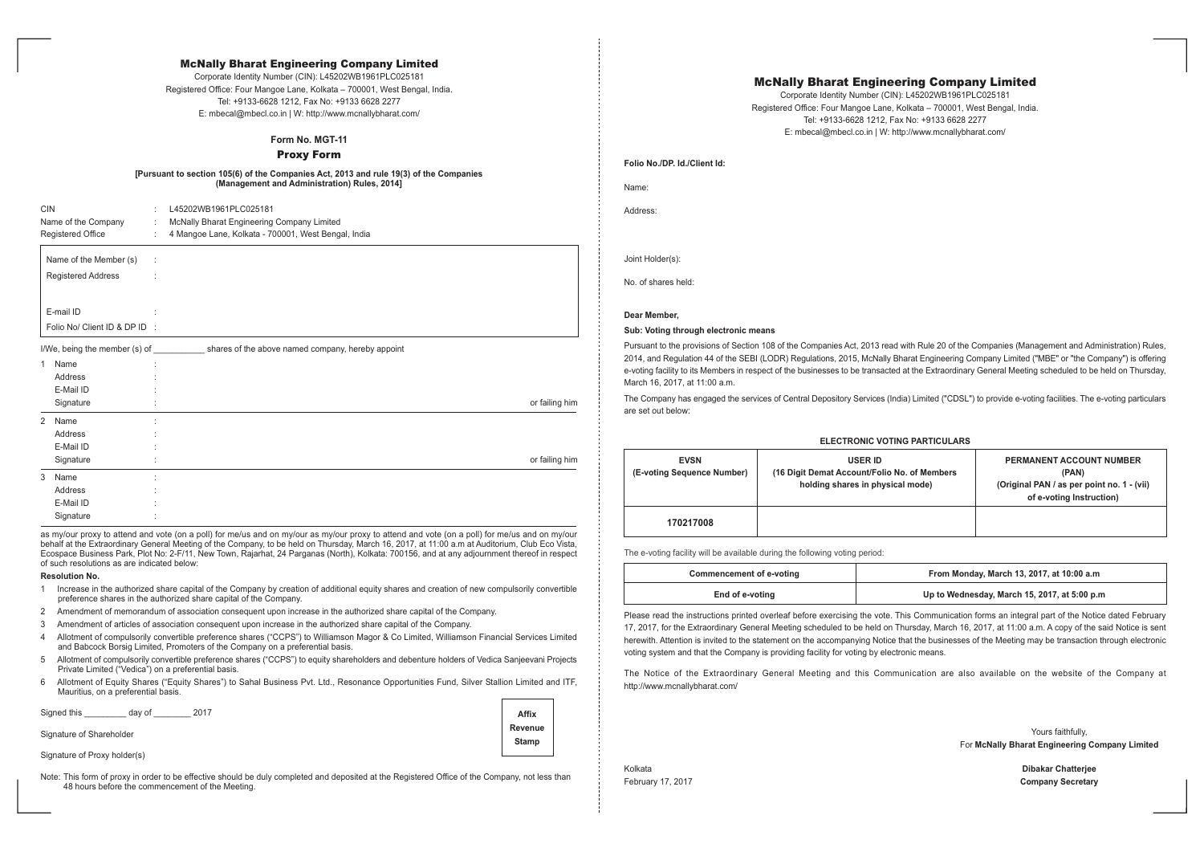# McNally Bharat Engineering Company Limited

Corporate Identity Number (CIN): L45202WB1961PLC025181 Registered Office: Four Mangoe Lane, Kolkata - 700001, West Bengal, India. Tel: +9133-6628 1212, Fax No: +9133 6628 2277 E: mbecal@mbecl.co.in | W: http://www.mcnallybharat.com/

**Folio No./DP. Id./Client Id:**

Name:

Address:

Joint Holder(s):

No. of shares held:

# **Dear Member,**

### **Sub: Voting through electronic means**

Pursuant to the provisions of Section 108 of the Companies Act, 2013 read with Rule 20 of the Companies (Management and Administration) Rules, 2014, and Regulation 44 of the SEBI (LODR) Regulations, 2015, McNally Bharat Engineering Company Limited ("MBE" or "the Company") is offering e-voting facility to its Members in respect of the businesses to be transacted at the Extraordinary General Meeting scheduled to be held on Thursday, March 16, 2017, at 11:00 a.m.

The Company has engaged the services of Central Depository Services (India) Limited ("CDSL") to provide e-voting facilities. The e-voting particulars are set out below:

| <b>EVSN</b><br>equence Number) | <b>USER ID</b><br>(16 Digit Demat Account/Folio No. of Members)<br>holding shares in physical mode) | <b>PERMANENT ACCOUNT NUMBER</b><br>(PAN)<br>(Original PAN / as per point no. 1 - (vii)<br>of e-voting Instruction) |
|--------------------------------|-----------------------------------------------------------------------------------------------------|--------------------------------------------------------------------------------------------------------------------|
| )217008                        |                                                                                                     |                                                                                                                    |

| <b>EVSN</b><br>(E-voting Sequence Number) | <b>USER ID</b><br>(16 Digit Demat Account/Folio No. of Members)<br>holding shares in physical mode) | <b>PERMANENT ACCO</b><br>(PAN)<br>(Original PAN / as per<br>of e-voting Ins |
|-------------------------------------------|-----------------------------------------------------------------------------------------------------|-----------------------------------------------------------------------------|
| 170217008                                 |                                                                                                     |                                                                             |

The e-voting facility will be available during the following voting period:

| <b>Commencement of e-voting</b> |  |
|---------------------------------|--|
| End of e-voting                 |  |

# **Commencement of e-voting From Monday, March 13, 2017, at 10:00 a.m**

# **End of e-voting Up to Wednesday, March 15, 2017, at 5:00 p.m**

Please read the instructions printed overleaf before exercising the vote. This Communication forms an integral part of the Notice dated February 17, 2017, for the Extraordinary General Meeting scheduled to be held on Thursday, March 16, 2017, at 11:00 a.m. A copy of the said Notice is sent herewith. Attention is invited to the statement on the accompanying Notice that the businesses of the Meeting may be transaction through electronic voting system and that the Company is providing facility for voting by electronic means.

The Notice of the Extraordinary General Meeting and this Communication are also available on the website of the Company at http://www.mcnallybharat.com/

Yours faithfully, For **McNally Bharat Engineering Company Limited**

Kolkata **Dibakar Chatterjee** February 17, 2017 **Company Secretary**

# **Form No. MGT-11**

Proxy Form

### **[Pursuant to section 105(6) of the Companies Act, 2013 and rule 19(3) of the Companies (Management and Administration) Rules, 2014]**

| <b>CIN</b>                    |   | L45202WB1961PLC025181                                                           |                |
|-------------------------------|---|---------------------------------------------------------------------------------|----------------|
| Name of the Company           | ÷ | McNally Bharat Engineering Company Limited                                      |                |
| <b>Registered Office</b>      | ÷ | 4 Mangoe Lane, Kolkata - 700001, West Bengal, India                             |                |
| Name of the Member (s)        | ÷ |                                                                                 |                |
| <b>Registered Address</b>     |   |                                                                                 |                |
| E-mail ID                     |   |                                                                                 |                |
| Folio No/ Client ID & DP ID : |   |                                                                                 |                |
|                               |   | I/We, being the member (s) of shares of the above named company, hereby appoint |                |
| 1 Name                        |   |                                                                                 |                |
| Address                       |   |                                                                                 |                |
| E-Mail ID                     |   |                                                                                 |                |
| Signature                     |   |                                                                                 | or failing him |

| 2 Name    |         |                |
|-----------|---------|----------------|
| Address   |         |                |
| E-Mail ID |         |                |
| Signature | $\cdot$ | or failing him |
| 3 Name    |         |                |
| Address   |         |                |
| E-Mail ID |         |                |
| Signature |         |                |

as my/our proxy to attend and vote (on a poll) for me/us and on my/our as my/our proxy to attend and vote (on a poll) for me/us and on my/our behalf at the Extraordinary General Meeting of the Company, to be held on Thursday, March 16, 2017, at 11:00 a.m at Auditorium, Club Eco Vista, Ecospace Business Park, Plot No: 2-F/11, New Town, Rajarhat, 24 Parganas (North), Kolkata: 700156, and at any adjournment thereof in respect of such resolutions as are indicated below:

#### **Resolution No.**

- 1 Increase in the authorized share capital of the Company by creation of additional equity shares and creation of new compulsorily convertible preference shares in the authorized share capital of the Company.
- 2 Amendment of memorandum of association consequent upon increase in the authorized share capital of the Company.
- 3 Amendment of articles of association consequent upon increase in the authorized share capital of the Company.
- 4 Allotment of compulsorily convertible preference shares ("CCPS") to Williamson Magor & Co Limited, Williamson Financial Services Limited and Babcock Borsig Limited, Promoters of the Company on a preferential basis.
- 5 Allotment of compulsorily convertible preference shares ("CCPS") to equity shareholders and debenture holders of Vedica Sanjeevani Projects Private Limited ("Vedica") on a preferential basis.
- 6 Allotment of Equity Shares ("Equity Shares") to Sahal Business Pvt. Ltd., Resonance Opportunities Fund, Silver Stallion Limited and ITF, Mauritius, on a preferential basis.

Signed this \_\_\_\_\_\_\_\_\_ day of \_\_\_\_\_\_\_\_ 2017

Signature of Shareholder

Signature of Proxy holder(s)

Note: This form of proxy in order to be effective should be duly completed and deposited at the Registered Office of the Company, not less than 48 hours before the commencement of the Meeting.

| <b>Affix</b> |
|--------------|
| Revenue      |
| Stamp        |
|              |

# **ELECTRONIC PARTICULARS**

# McNally Bharat Engineering Company Limited

Corporate Identity Number (CIN): L45202WB1961PLC025181 Registered Office: Four Mangoe Lane, Kolkata - 700001, West Bengal, India. Tel: +9133-6628 1212, Fax No: +9133 6628 2277 E: mbecal@mbecl.co.in | W: http://www.mcnallybharat.com/